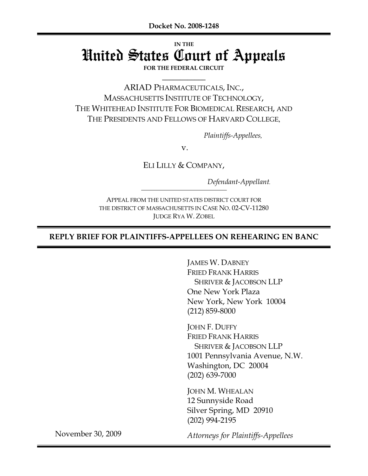# **IN THE** United States Court of Appeals

**FOR THE FEDERAL CIRCUIT \_\_\_\_\_\_\_\_\_\_\_\_**

ARIAD PHARMACEUTICALS, INC., MASSACHUSETTS INSTITUTE OF TECHNOLOGY, THE WHITEHEAD INSTITUTE FOR BIOMEDICAL RESEARCH, AND THE PRESIDENTS AND FELLOWS OF HARVARD COLLEGE,

*Plaintiffs-Appellees,*

v.

ELI LILLY & COMPANY,

*Defendant-Appellant.*

APPEAL FROM THE UNITED STATES DISTRICT COURT FOR THE DISTRICT OF MASSACHUSETTS IN CASE NO. 02-CV-11280 JUDGE RYA W. ZOBEL

### **REPLY BRIEF FOR PLAINTIFFS-APPELLEES ON REHEARING EN BANC**

JAMES W. DABNEY FRIED FRANK HARRIS SHRIVER & JACOBSON LLP One New York Plaza New York, New York 10004 (212) 859-8000

JOHN F. DUFFY FRIED FRANK HARRIS SHRIVER & JACOBSON LLP 1001 Pennsylvania Avenue, N.W. Washington, DC 20004 (202) 639-7000

JOHN M. WHEALAN 12 Sunnyside Road Silver Spring, MD 20910 (202) 994-2195

November 30, 2009

*Attorneys for Plaintiffs-Appellees*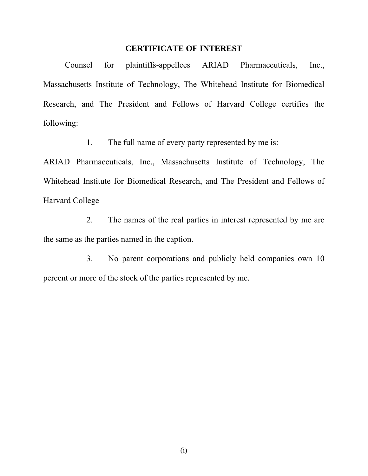### **CERTIFICATE OF INTEREST**

Counsel for plaintiffs-appellees ARIAD Pharmaceuticals, Inc., Massachusetts Institute of Technology, The Whitehead Institute for Biomedical Research, and The President and Fellows of Harvard College certifies the following:

1. The full name of every party represented by me is:

ARIAD Pharmaceuticals, Inc., Massachusetts Institute of Technology, The Whitehead Institute for Biomedical Research, and The President and Fellows of Harvard College

2. The names of the real parties in interest represented by me are the same as the parties named in the caption.

3. No parent corporations and publicly held companies own 10 percent or more of the stock of the parties represented by me.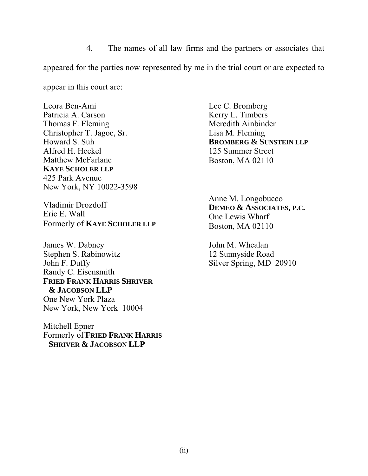4. The names of all law firms and the partners or associates that appeared for the parties now represented by me in the trial court or are expected to

appear in this court are:

Leora Ben-Ami Patricia A. Carson Thomas F. Fleming Christopher T. Jagoe, Sr. Howard S. Suh Alfred H. Heckel Matthew McFarlane **KAYE SCHOLER LLP** 425 Park Avenue New York, NY 10022-3598

Vladimir Drozdoff Eric E. Wall Formerly of **KAYE SCHOLER LLP**

James W. Dabney Stephen S. Rabinowitz John F. Duffy Randy C. Eisensmith **FRIED FRANK HARRIS SHRIVER & JACOBSON LLP**  One New York Plaza New York, New York 10004

Mitchell Epner Formerly of **FRIED FRANK HARRIS SHRIVER & JACOBSON LLP**

Lee C. Bromberg Kerry L. Timbers Meredith Ainbinder Lisa M. Fleming **BROMBERG & SUNSTEIN LLP** 125 Summer Street Boston, MA 02110

Anne M. Longobucco **DEMEO & ASSOCIATES, P.C.**  One Lewis Wharf Boston, MA 02110

John M. Whealan 12 Sunnyside Road Silver Spring, MD 20910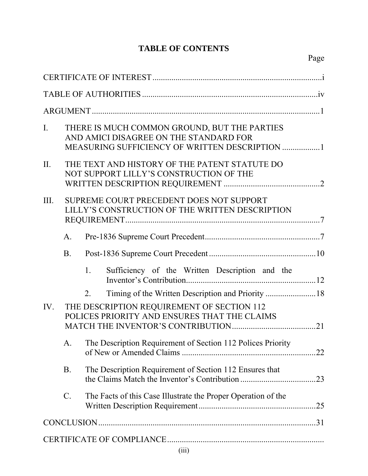# **TABLE OF CONTENTS**

| $\mathbf{I}$ . |                 | THERE IS MUCH COMMON GROUND, BUT THE PARTIES<br>AND AMICI DISAGREE ON THE STANDARD FOR<br>MEASURING SUFFICIENCY OF WRITTEN DESCRIPTION  1 |  |  |  |  |
|----------------|-----------------|-------------------------------------------------------------------------------------------------------------------------------------------|--|--|--|--|
| II.            |                 | THE TEXT AND HISTORY OF THE PATENT STATUTE DO<br>NOT SUPPORT LILLY'S CONSTRUCTION OF THE                                                  |  |  |  |  |
| III.           |                 | SUPREME COURT PRECEDENT DOES NOT SUPPORT<br>LILLY'S CONSTRUCTION OF THE WRITTEN DESCRIPTION                                               |  |  |  |  |
|                | $A_{\cdot}$     |                                                                                                                                           |  |  |  |  |
|                | <b>B.</b>       |                                                                                                                                           |  |  |  |  |
|                |                 | Sufficiency of the Written Description and the<br>1.                                                                                      |  |  |  |  |
|                |                 | 2.                                                                                                                                        |  |  |  |  |
| IV.            |                 | THE DESCRIPTION REQUIREMENT OF SECTION 112<br>POLICES PRIORITY AND ENSURES THAT THE CLAIMS<br>21                                          |  |  |  |  |
|                | A.              | The Description Requirement of Section 112 Polices Priority                                                                               |  |  |  |  |
|                | <b>B</b> .      | The Description Requirement of Section 112 Ensures that                                                                                   |  |  |  |  |
|                | $\mathcal{C}$ . | The Facts of this Case Illustrate the Proper Operation of the                                                                             |  |  |  |  |
|                |                 |                                                                                                                                           |  |  |  |  |
|                |                 |                                                                                                                                           |  |  |  |  |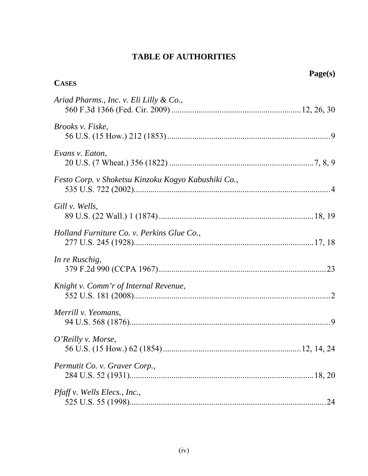## **TABLE OF AUTHORITIES**

| <b>CASES</b>                                        | Page(s) |
|-----------------------------------------------------|---------|
| Ariad Pharms., Inc. v. Eli Lilly & Co.,             |         |
| <i>Brooks v. Fiske,</i>                             |         |
| Evans v. Eaton,                                     |         |
| Festo Corp. v Shoketsu Kinzoku Kogyo Kabushiki Co., |         |
| Gill v. Wells,                                      |         |
| Holland Furniture Co. v. Perkins Glue Co.,          |         |
| In re Ruschig,                                      |         |
| Knight v. Comm'r of Internal Revenue,               |         |
| Merrill v. Yeomans,                                 | 9       |
| O'Reilly v. Morse,                                  |         |
| Permutit Co. v. Graver Corp.,                       |         |
| <i>Pfaff v. Wells Elecs., Inc.,</i>                 |         |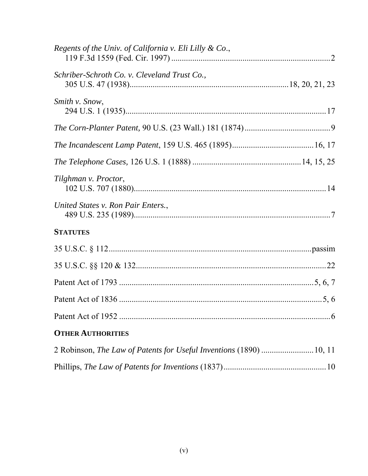| Regents of the Univ. of California v. Eli Lilly & Co., |  |
|--------------------------------------------------------|--|
| Schriber-Schroth Co. v. Cleveland Trust Co.,           |  |
| Smith v. Snow,                                         |  |
|                                                        |  |
|                                                        |  |
|                                                        |  |
| Tilghman v. Proctor,                                   |  |
| United States v. Ron Pair Enters.,                     |  |
| <b>STATUTES</b>                                        |  |
|                                                        |  |
|                                                        |  |
|                                                        |  |
|                                                        |  |
|                                                        |  |
| <b>OTHER AUTHORITIES</b>                               |  |
|                                                        |  |
|                                                        |  |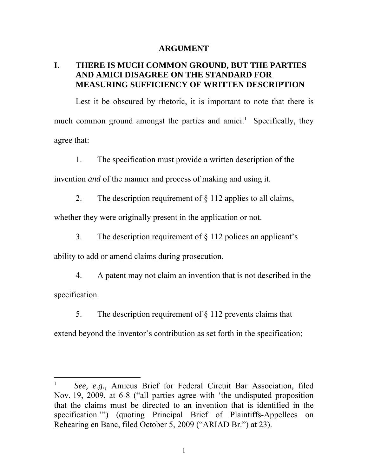#### **ARGUMENT**

### **I. THERE IS MUCH COMMON GROUND, BUT THE PARTIES AND AMICI DISAGREE ON THE STANDARD FOR MEASURING SUFFICIENCY OF WRITTEN DESCRIPTION**

Lest it be obscured by rhetoric, it is important to note that there is much common ground amongst the parties and amici.<sup>1</sup> Specifically, they agree that:

1. The specification must provide a written description of the

invention *and* of the manner and process of making and using it.

2. The description requirement of  $\S$  112 applies to all claims,

whether they were originally present in the application or not.

3. The description requirement of § 112 polices an applicant's

ability to add or amend claims during prosecution.

 $\overline{a}$ 

4. A patent may not claim an invention that is not described in the specification.

5. The description requirement of  $\S$  112 prevents claims that

extend beyond the inventor's contribution as set forth in the specification;

<sup>1</sup> *See, e.g.*, Amicus Brief for Federal Circuit Bar Association, filed Nov. 19, 2009, at 6-8 ("all parties agree with 'the undisputed proposition that the claims must be directed to an invention that is identified in the specification.'") (quoting Principal Brief of Plaintiffs-Appellees on Rehearing en Banc, filed October 5, 2009 ("ARIAD Br.") at 23).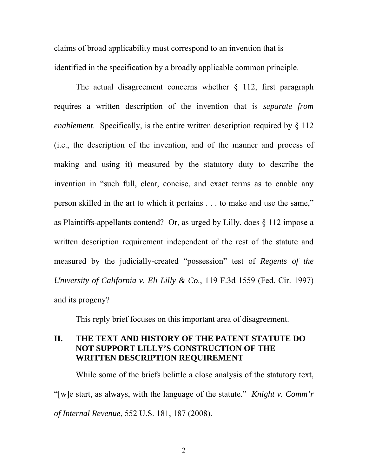claims of broad applicability must correspond to an invention that is identified in the specification by a broadly applicable common principle.

The actual disagreement concerns whether  $\S$  112, first paragraph requires a written description of the invention that is *separate from enablement*. Specifically, is the entire written description required by § 112 (i.e., the description of the invention, and of the manner and process of making and using it) measured by the statutory duty to describe the invention in "such full, clear, concise, and exact terms as to enable any person skilled in the art to which it pertains . . . to make and use the same," as Plaintiffs-appellants contend? Or, as urged by Lilly, does § 112 impose a written description requirement independent of the rest of the statute and measured by the judicially-created "possession" test of *Regents of the University of California v. Eli Lilly & Co*., 119 F.3d 1559 (Fed. Cir. 1997) and its progeny?

This reply brief focuses on this important area of disagreement.

### **II. THE TEXT AND HISTORY OF THE PATENT STATUTE DO NOT SUPPORT LILLY'S CONSTRUCTION OF THE WRITTEN DESCRIPTION REQUIREMENT**

While some of the briefs belittle a close analysis of the statutory text, "[w]e start, as always, with the language of the statute." *Knight v. Comm'r of Internal Revenue*, 552 U.S. 181, 187 (2008).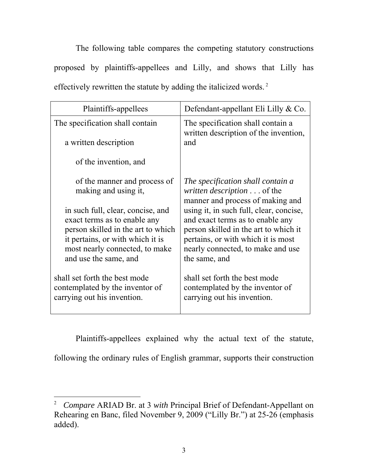The following table compares the competing statutory constructions proposed by plaintiffs-appellees and Lilly, and shows that Lilly has effectively rewritten the statute by adding the italicized words. 2

| Plaintiffs-appellees                                                                                                                                                                                   | Defendant-appellant Eli Lilly $& Co.$                                                                                                                                                                            |  |
|--------------------------------------------------------------------------------------------------------------------------------------------------------------------------------------------------------|------------------------------------------------------------------------------------------------------------------------------------------------------------------------------------------------------------------|--|
| The specification shall contain<br>a written description                                                                                                                                               | The specification shall contain a<br>written description of the invention,<br>and                                                                                                                                |  |
| of the invention, and                                                                                                                                                                                  |                                                                                                                                                                                                                  |  |
| of the manner and process of<br>making and using it,                                                                                                                                                   | The specification shall contain a<br><i>written description</i> of the<br>manner and process of making and                                                                                                       |  |
| in such full, clear, concise, and<br>exact terms as to enable any<br>person skilled in the art to which<br>it pertains, or with which it is<br>most nearly connected, to make<br>and use the same, and | using it, in such full, clear, concise,<br>and exact terms as to enable any<br>person skilled in the art to which it<br>pertains, or with which it is most<br>nearly connected, to make and use<br>the same, and |  |
| shall set forth the best mode<br>contemplated by the inventor of<br>carrying out his invention.                                                                                                        | shall set forth the best mode<br>contemplated by the inventor of<br>carrying out his invention.                                                                                                                  |  |

Plaintiffs-appellees explained why the actual text of the statute, following the ordinary rules of English grammar, supports their construction

<sup>2</sup> *Compare* ARIAD Br. at 3 *with* Principal Brief of Defendant-Appellant on Rehearing en Banc, filed November 9, 2009 ("Lilly Br.") at 25-26 (emphasis added).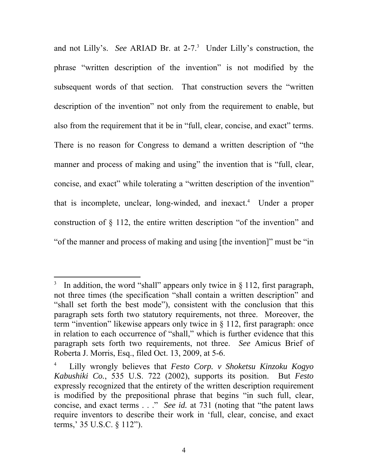and not Lilly's. *See* ARIAD Br. at 2-7.<sup>3</sup> Under Lilly's construction, the phrase "written description of the invention" is not modified by the subsequent words of that section. That construction severs the "written description of the invention" not only from the requirement to enable, but also from the requirement that it be in "full, clear, concise, and exact" terms. There is no reason for Congress to demand a written description of "the manner and process of making and using" the invention that is "full, clear, concise, and exact" while tolerating a "written description of the invention" that is incomplete, unclear, long-winded, and inexact.<sup>4</sup> Under a proper construction of § 112, the entire written description "of the invention" and "of the manner and process of making and using [the invention]" must be "in

<sup>3</sup> In addition, the word "shall" appears only twice in § 112, first paragraph, not three times (the specification "shall contain a written description" and "shall set forth the best mode"), consistent with the conclusion that this paragraph sets forth two statutory requirements, not three. Moreover, the term "invention" likewise appears only twice in  $\S$  112, first paragraph: once in relation to each occurrence of "shall," which is further evidence that this paragraph sets forth two requirements, not three. *See* Amicus Brief of Roberta J. Morris, Esq., filed Oct. 13, 2009, at 5-6.

<sup>4</sup> Lilly wrongly believes that *Festo Corp. v Shoketsu Kinzoku Kogyo Kabushiki Co.*, 535 U.S. 722 (2002), supports its position. But *Festo* expressly recognized that the entirety of the written description requirement is modified by the prepositional phrase that begins "in such full, clear, concise, and exact terms . . ." *See id.* at 731 (noting that "the patent laws require inventors to describe their work in 'full, clear, concise, and exact terms,' 35 U.S.C. § 112").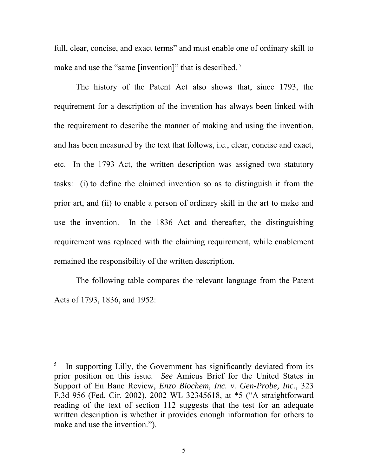full, clear, concise, and exact terms" and must enable one of ordinary skill to make and use the "same [invention]" that is described.<sup>5</sup>

The history of the Patent Act also shows that, since 1793, the requirement for a description of the invention has always been linked with the requirement to describe the manner of making and using the invention, and has been measured by the text that follows, i.e., clear, concise and exact, etc. In the 1793 Act, the written description was assigned two statutory tasks: (i) to define the claimed invention so as to distinguish it from the prior art, and (ii) to enable a person of ordinary skill in the art to make and use the invention. In the 1836 Act and thereafter, the distinguishing requirement was replaced with the claiming requirement, while enablement remained the responsibility of the written description.

The following table compares the relevant language from the Patent Acts of 1793, 1836, and 1952:

<sup>5</sup> In supporting Lilly, the Government has significantly deviated from its prior position on this issue. *See* Amicus Brief for the United States in Support of En Banc Review, *Enzo Biochem, Inc. v. Gen-Probe, Inc.*, 323 F.3d 956 (Fed. Cir. 2002), 2002 WL 32345618, at \*5 ("A straightforward reading of the text of section 112 suggests that the test for an adequate written description is whether it provides enough information for others to make and use the invention.").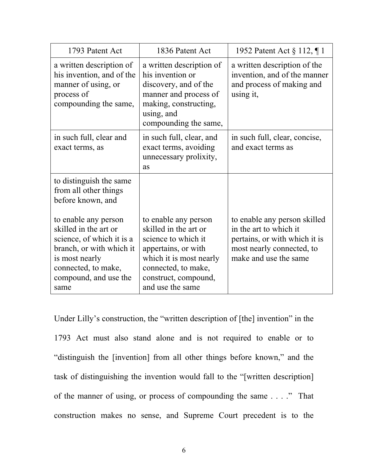| 1793 Patent Act                                                                                                                                                                  | 1836 Patent Act                                                                                                                                                                           | 1952 Patent Act § 112, ¶ 1                                                                                                                    |
|----------------------------------------------------------------------------------------------------------------------------------------------------------------------------------|-------------------------------------------------------------------------------------------------------------------------------------------------------------------------------------------|-----------------------------------------------------------------------------------------------------------------------------------------------|
| a written description of<br>his invention, and of the<br>manner of using, or<br>process of<br>compounding the same,                                                              | a written description of<br>his invention or<br>discovery, and of the<br>manner and process of<br>making, constructing,<br>using, and<br>compounding the same,                            | a written description of the<br>invention, and of the manner<br>and process of making and<br>using it,                                        |
| in such full, clear and<br>exact terms, as                                                                                                                                       | in such full, clear, and<br>exact terms, avoiding<br>unnecessary prolixity,<br>as                                                                                                         | in such full, clear, concise,<br>and exact terms as                                                                                           |
| to distinguish the same<br>from all other things<br>before known, and                                                                                                            |                                                                                                                                                                                           |                                                                                                                                               |
| to enable any person<br>skilled in the art or<br>science, of which it is a<br>branch, or with which it<br>is most nearly<br>connected, to make,<br>compound, and use the<br>same | to enable any person<br>skilled in the art or<br>science to which it<br>appertains, or with<br>which it is most nearly<br>connected, to make,<br>construct, compound,<br>and use the same | to enable any person skilled<br>in the art to which it<br>pertains, or with which it is<br>most nearly connected, to<br>make and use the same |

Under Lilly's construction, the "written description of [the] invention" in the 1793 Act must also stand alone and is not required to enable or to "distinguish the [invention] from all other things before known," and the task of distinguishing the invention would fall to the "[written description] of the manner of using, or process of compounding the same . . . ." That construction makes no sense, and Supreme Court precedent is to the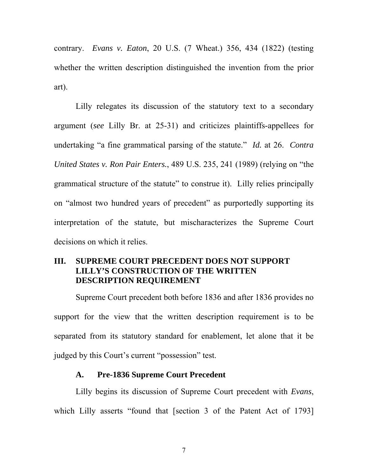contrary. *Evans v. Eaton*, 20 U.S. (7 Wheat.) 356, 434 (1822) (testing whether the written description distinguished the invention from the prior art).

Lilly relegates its discussion of the statutory text to a secondary argument (*see* Lilly Br. at 25-31) and criticizes plaintiffs-appellees for undertaking "a fine grammatical parsing of the statute." *Id.* at 26. *Contra United States v. Ron Pair Enters.*, 489 U.S. 235, 241 (1989) (relying on "the grammatical structure of the statute" to construe it). Lilly relies principally on "almost two hundred years of precedent" as purportedly supporting its interpretation of the statute, but mischaracterizes the Supreme Court decisions on which it relies.

### **III. SUPREME COURT PRECEDENT DOES NOT SUPPORT LILLY'S CONSTRUCTION OF THE WRITTEN DESCRIPTION REQUIREMENT**

Supreme Court precedent both before 1836 and after 1836 provides no support for the view that the written description requirement is to be separated from its statutory standard for enablement, let alone that it be judged by this Court's current "possession" test.

### **A. Pre-1836 Supreme Court Precedent**

Lilly begins its discussion of Supreme Court precedent with *Evans*, which Lilly asserts "found that [section 3 of the Patent Act of 1793]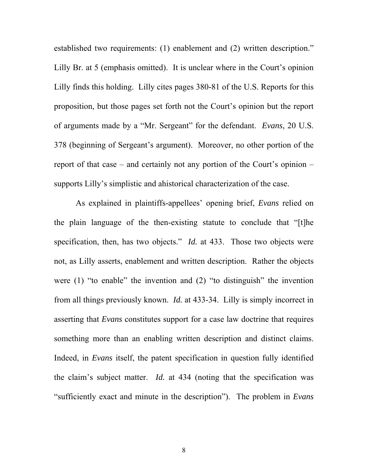established two requirements: (1) enablement and (2) written description." Lilly Br. at 5 (emphasis omitted). It is unclear where in the Court's opinion Lilly finds this holding. Lilly cites pages 380-81 of the U.S. Reports for this proposition, but those pages set forth not the Court's opinion but the report of arguments made by a "Mr. Sergeant" for the defendant. *Evans*, 20 U.S. 378 (beginning of Sergeant's argument). Moreover, no other portion of the report of that case – and certainly not any portion of the Court's opinion – supports Lilly's simplistic and ahistorical characterization of the case.

As explained in plaintiffs-appellees' opening brief, *Evans* relied on the plain language of the then-existing statute to conclude that "[t]he specification, then, has two objects." *Id.* at 433. Those two objects were not, as Lilly asserts, enablement and written description. Rather the objects were (1) "to enable" the invention and (2) "to distinguish" the invention from all things previously known. *Id.* at 433-34. Lilly is simply incorrect in asserting that *Evans* constitutes support for a case law doctrine that requires something more than an enabling written description and distinct claims. Indeed, in *Evans* itself, the patent specification in question fully identified the claim's subject matter. *Id.* at 434 (noting that the specification was "sufficiently exact and minute in the description"). The problem in *Evans*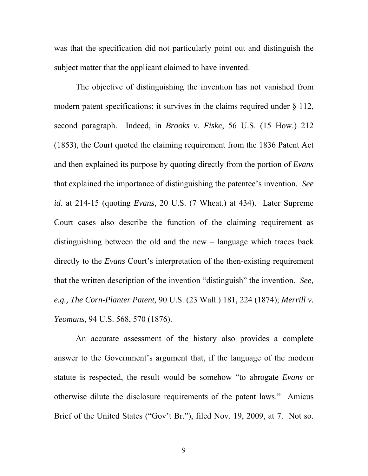was that the specification did not particularly point out and distinguish the subject matter that the applicant claimed to have invented.

The objective of distinguishing the invention has not vanished from modern patent specifications; it survives in the claims required under  $\S$  112, second paragraph. Indeed, in *Brooks v. Fiske*, 56 U.S. (15 How.) 212 (1853), the Court quoted the claiming requirement from the 1836 Patent Act and then explained its purpose by quoting directly from the portion of *Evans*  that explained the importance of distinguishing the patentee's invention. *See id.* at 214-15 (quoting *Evans*, 20 U.S. (7 Wheat.) at 434). Later Supreme Court cases also describe the function of the claiming requirement as distinguishing between the old and the new – language which traces back directly to the *Evans* Court's interpretation of the then-existing requirement that the written description of the invention "distinguish" the invention. *See, e.g., The Corn-Planter Patent,* 90 U.S. (23 Wall.) 181, 224 (1874); *Merrill v. Yeomans*, 94 U.S. 568, 570 (1876).

An accurate assessment of the history also provides a complete answer to the Government's argument that, if the language of the modern statute is respected, the result would be somehow "to abrogate *Evans* or otherwise dilute the disclosure requirements of the patent laws." Amicus Brief of the United States ("Gov't Br."), filed Nov. 19, 2009, at 7. Not so.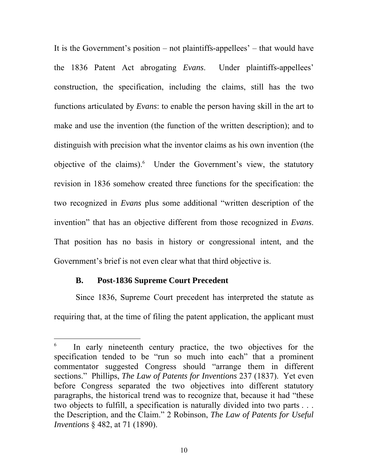It is the Government's position – not plaintiffs-appellees' – that would have the 1836 Patent Act abrogating *Evans*. Under plaintiffs-appellees' construction, the specification, including the claims, still has the two functions articulated by *Evans*: to enable the person having skill in the art to make and use the invention (the function of the written description); and to distinguish with precision what the inventor claims as his own invention (the objective of the claims). Under the Government's view, the statutory revision in 1836 somehow created three functions for the specification: the two recognized in *Evans* plus some additional "written description of the invention" that has an objective different from those recognized in *Evans*. That position has no basis in history or congressional intent, and the Government's brief is not even clear what that third objective is.

#### **B. Post-1836 Supreme Court Precedent**

 $\overline{a}$ 

Since 1836, Supreme Court precedent has interpreted the statute as requiring that, at the time of filing the patent application, the applicant must

<sup>6</sup> In early nineteenth century practice, the two objectives for the specification tended to be "run so much into each" that a prominent commentator suggested Congress should "arrange them in different sections." Phillips, *The Law of Patents for Inventions* 237 (1837). Yet even before Congress separated the two objectives into different statutory paragraphs, the historical trend was to recognize that, because it had "these two objects to fulfill, a specification is naturally divided into two parts . . . the Description, and the Claim." 2 Robinson, *The Law of Patents for Useful Inventions* § 482, at 71 (1890).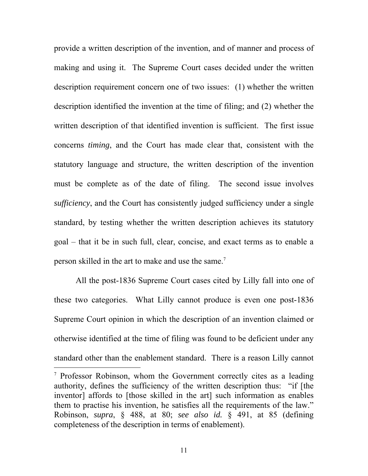provide a written description of the invention, and of manner and process of making and using it. The Supreme Court cases decided under the written description requirement concern one of two issues: (1) whether the written description identified the invention at the time of filing; and (2) whether the written description of that identified invention is sufficient. The first issue concerns *timing*, and the Court has made clear that, consistent with the statutory language and structure, the written description of the invention must be complete as of the date of filing. The second issue involves *sufficiency*, and the Court has consistently judged sufficiency under a single standard, by testing whether the written description achieves its statutory goal – that it be in such full, clear, concise, and exact terms as to enable a person skilled in the art to make and use the same.<sup>7</sup>

All the post-1836 Supreme Court cases cited by Lilly fall into one of these two categories. What Lilly cannot produce is even one post-1836 Supreme Court opinion in which the description of an invention claimed or otherwise identified at the time of filing was found to be deficient under any standard other than the enablement standard. There is a reason Lilly cannot

 $\overline{a}$ 

<sup>&</sup>lt;sup>7</sup> Professor Robinson, whom the Government correctly cites as a leading authority, defines the sufficiency of the written description thus: "if [the inventor] affords to [those skilled in the art] such information as enables them to practise his invention, he satisfies all the requirements of the law." Robinson, *supra*, § 488, at 80; *see also id.* § 491, at 85 (defining completeness of the description in terms of enablement).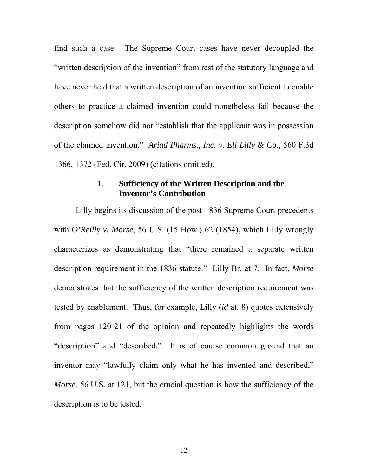find such a case. The Supreme Court cases have never decoupled the "written description of the invention" from rest of the statutory language and have never held that a written description of an invention sufficient to enable others to practice a claimed invention could nonetheless fail because the description somehow did not "establish that the applicant was in possession of the claimed invention." *Ariad Pharms., Inc. v. Eli Lilly & Co.*, 560 F.3d 1366, 1372 (Fed. Cir. 2009) (citations omitted).

### 1. **Sufficiency of the Written Description and the Inventor's Contribution**

Lilly begins its discussion of the post-1836 Supreme Court precedents with *O'Reilly v. Morse*, 56 U.S. (15 How.) 62 (1854), which Lilly wrongly characterizes as demonstrating that "there remained a separate written description requirement in the 1836 statute." Lilly Br. at 7. In fact, *Morse* demonstrates that the sufficiency of the written description requirement was tested by enablement. Thus, for example, Lilly (*id* at. 8) quotes extensively from pages 120-21 of the opinion and repeatedly highlights the words "description" and "described." It is of course common ground that an inventor may "lawfully claim only what he has invented and described," *Morse*, 56 U.S. at 121, but the crucial question is how the sufficiency of the description is to be tested.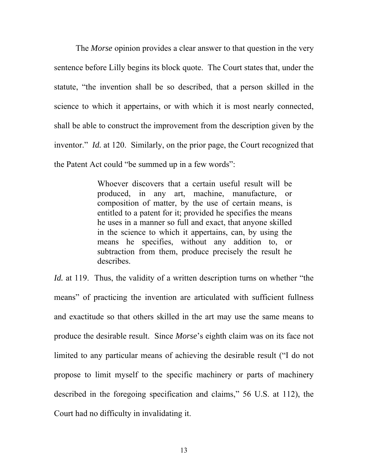The *Morse* opinion provides a clear answer to that question in the very sentence before Lilly begins its block quote. The Court states that, under the statute, "the invention shall be so described, that a person skilled in the science to which it appertains, or with which it is most nearly connected, shall be able to construct the improvement from the description given by the inventor." *Id.* at 120. Similarly, on the prior page, the Court recognized that the Patent Act could "be summed up in a few words":

> Whoever discovers that a certain useful result will be produced, in any art, machine, manufacture, or composition of matter, by the use of certain means, is entitled to a patent for it; provided he specifies the means he uses in a manner so full and exact, that anyone skilled in the science to which it appertains, can, by using the means he specifies, without any addition to, or subtraction from them, produce precisely the result he describes.

*Id.* at 119. Thus, the validity of a written description turns on whether "the means" of practicing the invention are articulated with sufficient fullness and exactitude so that others skilled in the art may use the same means to produce the desirable result. Since *Morse*'s eighth claim was on its face not limited to any particular means of achieving the desirable result ("I do not propose to limit myself to the specific machinery or parts of machinery described in the foregoing specification and claims," 56 U.S. at 112), the Court had no difficulty in invalidating it.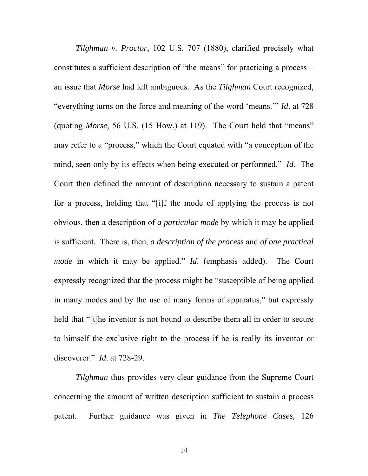*Tilghman v. Proctor*, 102 U.S. 707 (1880), clarified precisely what constitutes a sufficient description of "the means" for practicing a process – an issue that *Morse* had left ambiguous. As the *Tilghman* Court recognized, "everything turns on the force and meaning of the word 'means.'" *Id*. at 728 (quoting *Morse,* 56 U.S. (15 How.) at 119). The Court held that "means" may refer to a "process," which the Court equated with "a conception of the mind, seen only by its effects when being executed or performed." *Id*. The Court then defined the amount of description necessary to sustain a patent for a process, holding that "[i]f the mode of applying the process is not obvious, then a description of *a particular mode* by which it may be applied is sufficient. There is, then, *a description of the process* and *of one practical mode* in which it may be applied." *Id*. (emphasis added). The Court expressly recognized that the process might be "susceptible of being applied in many modes and by the use of many forms of apparatus," but expressly held that "[t]he inventor is not bound to describe them all in order to secure to himself the exclusive right to the process if he is really its inventor or discoverer." *Id*. at 728-29.

*Tilghman* thus provides very clear guidance from the Supreme Court concerning the amount of written description sufficient to sustain a process patent. Further guidance was given in *The Telephone Cases,* 126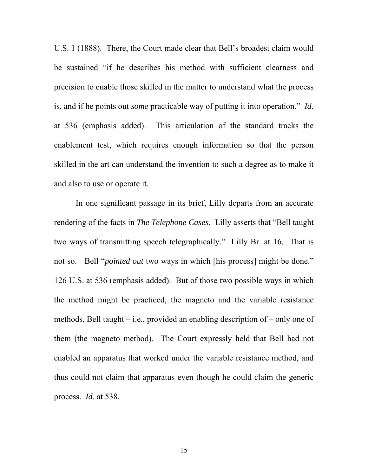U.S. 1 (1888). There, the Court made clear that Bell's broadest claim would be sustained "if he describes his method with sufficient clearness and precision to enable those skilled in the matter to understand what the process is, and if he points out *some* practicable way of putting it into operation." *Id.* at 536 (emphasis added). This articulation of the standard tracks the enablement test, which requires enough information so that the person skilled in the art can understand the invention to such a degree as to make it and also to use or operate it.

In one significant passage in its brief, Lilly departs from an accurate rendering of the facts in *The Telephone Cases*. Lilly asserts that "Bell taught two ways of transmitting speech telegraphically." Lilly Br. at 16. That is not so. Bell "*pointed out* two ways in which [his process] might be done." 126 U.S. at 536 (emphasis added). But of those two possible ways in which the method might be practiced, the magneto and the variable resistance methods, Bell taught – i.e., provided an enabling description of – only one of them (the magneto method). The Court expressly held that Bell had not enabled an apparatus that worked under the variable resistance method, and thus could not claim that apparatus even though he could claim the generic process. *Id*. at 538.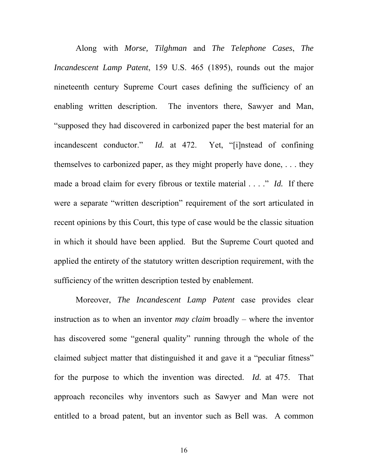Along with *Morse, Tilghman* and *The Telephone Cases*, *The Incandescent Lamp Patent*, 159 U.S. 465 (1895), rounds out the major nineteenth century Supreme Court cases defining the sufficiency of an enabling written description. The inventors there, Sawyer and Man, "supposed they had discovered in carbonized paper the best material for an incandescent conductor." *Id.* at 472. Yet, "[i]nstead of confining themselves to carbonized paper, as they might properly have done, . . . they made a broad claim for every fibrous or textile material . . . ." *Id.* If there were a separate "written description" requirement of the sort articulated in recent opinions by this Court, this type of case would be the classic situation in which it should have been applied. But the Supreme Court quoted and applied the entirety of the statutory written description requirement, with the sufficiency of the written description tested by enablement.

Moreover, *The Incandescent Lamp Patent* case provides clear instruction as to when an inventor *may claim* broadly – where the inventor has discovered some "general quality" running through the whole of the claimed subject matter that distinguished it and gave it a "peculiar fitness" for the purpose to which the invention was directed. *Id.* at 475. That approach reconciles why inventors such as Sawyer and Man were not entitled to a broad patent, but an inventor such as Bell was. A common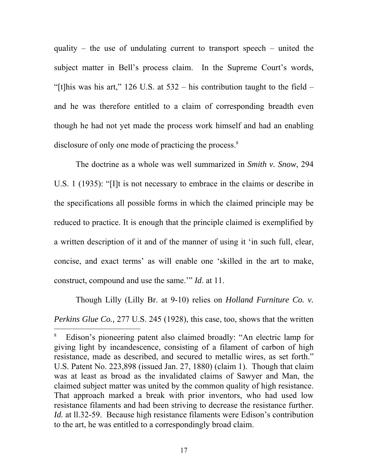quality – the use of undulating current to transport speech – united the subject matter in Bell's process claim. In the Supreme Court's words, "[t]his was his art," 126 U.S. at  $532 -$  his contribution taught to the field – and he was therefore entitled to a claim of corresponding breadth even though he had not yet made the process work himself and had an enabling disclosure of only one mode of practicing the process.<sup>8</sup>

The doctrine as a whole was well summarized in *Smith v. Snow*, 294 U.S. 1 (1935): "[I]t is not necessary to embrace in the claims or describe in the specifications all possible forms in which the claimed principle may be reduced to practice. It is enough that the principle claimed is exemplified by a written description of it and of the manner of using it 'in such full, clear, concise, and exact terms' as will enable one 'skilled in the art to make, construct, compound and use the same.'" *Id*. at 11.

Though Lilly (Lilly Br. at 9-10) relies on *Holland Furniture Co. v. Perkins Glue Co.,* 277 U.S. 245 (1928), this case, too, shows that the written

<sup>8</sup> Edison's pioneering patent also claimed broadly: "An electric lamp for giving light by incandescence, consisting of a filament of carbon of high resistance, made as described, and secured to metallic wires, as set forth." U.S. Patent No. 223,898 (issued Jan. 27, 1880) (claim 1). Though that claim was at least as broad as the invalidated claims of Sawyer and Man, the claimed subject matter was united by the common quality of high resistance. That approach marked a break with prior inventors, who had used low resistance filaments and had been striving to decrease the resistance further. *Id.* at 11.32-59. Because high resistance filaments were Edison's contribution to the art, he was entitled to a correspondingly broad claim.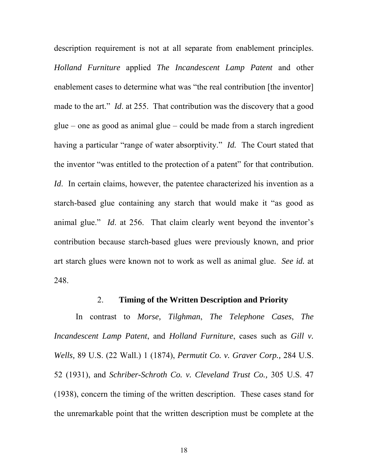description requirement is not at all separate from enablement principles. *Holland Furniture* applied *The Incandescent Lamp Patent* and other enablement cases to determine what was "the real contribution [the inventor] made to the art." *Id*. at 255. That contribution was the discovery that a good glue – one as good as animal glue – could be made from a starch ingredient having a particular "range of water absorptivity." *Id.* The Court stated that the inventor "was entitled to the protection of a patent" for that contribution. *Id.* In certain claims, however, the patentee characterized his invention as a starch-based glue containing any starch that would make it "as good as animal glue." *Id*. at 256. That claim clearly went beyond the inventor's contribution because starch-based glues were previously known, and prior art starch glues were known not to work as well as animal glue. *See id.* at 248.

### 2. **Timing of the Written Description and Priority**

In contrast to *Morse, Tilghman*, *The Telephone Cases*, *The Incandescent Lamp Patent*, and *Holland Furniture*, cases such as *Gill v. Wells,* 89 U.S. (22 Wall.) 1 (1874), *Permutit Co. v. Graver Corp.,* 284 U.S. 52 (1931), and *Schriber-Schroth Co. v. Cleveland Trust Co.,* 305 U.S. 47 (1938), concern the timing of the written description. These cases stand for the unremarkable point that the written description must be complete at the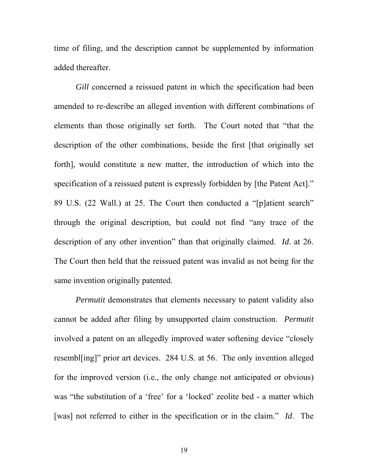time of filing, and the description cannot be supplemented by information added thereafter.

*Gill* concerned a reissued patent in which the specification had been amended to re-describe an alleged invention with different combinations of elements than those originally set forth. The Court noted that "that the description of the other combinations, beside the first [that originally set forth], would constitute a new matter, the introduction of which into the specification of a reissued patent is expressly forbidden by [the Patent Act]." 89 U.S. (22 Wall.) at 25. The Court then conducted a "[p]atient search" through the original description, but could not find "any trace of the description of any other invention" than that originally claimed. *Id*. at 26. The Court then held that the reissued patent was invalid as not being for the same invention originally patented.

*Permutit* demonstrates that elements necessary to patent validity also cannot be added after filing by unsupported claim construction. *Permutit* involved a patent on an allegedly improved water softening device "closely resembl[ing]" prior art devices. 284 U.S. at 56. The only invention alleged for the improved version (i.e., the only change not anticipated or obvious) was "the substitution of a 'free' for a 'locked' zeolite bed - a matter which [was] not referred to either in the specification or in the claim." *Id*. The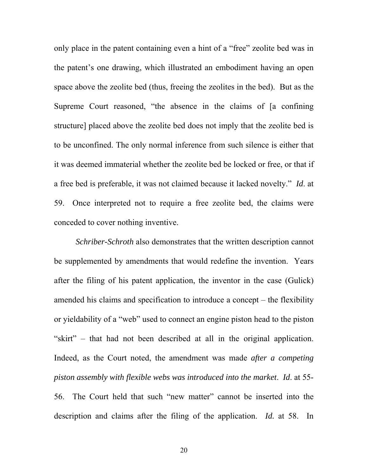only place in the patent containing even a hint of a "free" zeolite bed was in the patent's one drawing, which illustrated an embodiment having an open space above the zeolite bed (thus, freeing the zeolites in the bed). But as the Supreme Court reasoned, "the absence in the claims of [a confining structure] placed above the zeolite bed does not imply that the zeolite bed is to be unconfined. The only normal inference from such silence is either that it was deemed immaterial whether the zeolite bed be locked or free, or that if a free bed is preferable, it was not claimed because it lacked novelty." *Id*. at 59. Once interpreted not to require a free zeolite bed, the claims were conceded to cover nothing inventive.

*Schriber-Schroth* also demonstrates that the written description cannot be supplemented by amendments that would redefine the invention. Years after the filing of his patent application, the inventor in the case (Gulick) amended his claims and specification to introduce a concept – the flexibility or yieldability of a "web" used to connect an engine piston head to the piston "skirt" – that had not been described at all in the original application. Indeed, as the Court noted, the amendment was made *after a competing piston assembly with flexible webs was introduced into the market*. *Id*. at 55- 56. The Court held that such "new matter" cannot be inserted into the description and claims after the filing of the application. *Id.* at 58. In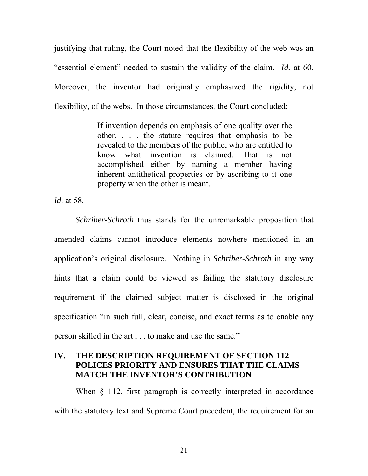justifying that ruling, the Court noted that the flexibility of the web was an "essential element" needed to sustain the validity of the claim. *Id.* at 60. Moreover, the inventor had originally emphasized the rigidity, not flexibility, of the webs. In those circumstances, the Court concluded:

> If invention depends on emphasis of one quality over the other, . . . the statute requires that emphasis to be revealed to the members of the public, who are entitled to know what invention is claimed. That is not accomplished either by naming a member having inherent antithetical properties or by ascribing to it one property when the other is meant.

*Id*. at 58.

*Schriber-Schroth* thus stands for the unremarkable proposition that amended claims cannot introduce elements nowhere mentioned in an application's original disclosure. Nothing in *Schriber-Schroth* in any way hints that a claim could be viewed as failing the statutory disclosure requirement if the claimed subject matter is disclosed in the original specification "in such full, clear, concise, and exact terms as to enable any person skilled in the art . . . to make and use the same."

### **IV. THE DESCRIPTION REQUIREMENT OF SECTION 112 POLICES PRIORITY AND ENSURES THAT THE CLAIMS MATCH THE INVENTOR'S CONTRIBUTION**

When  $\S$  112, first paragraph is correctly interpreted in accordance with the statutory text and Supreme Court precedent, the requirement for an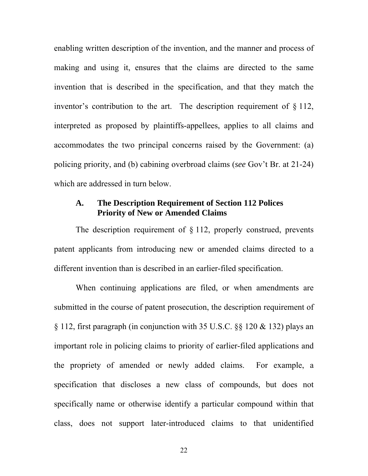enabling written description of the invention, and the manner and process of making and using it, ensures that the claims are directed to the same invention that is described in the specification, and that they match the inventor's contribution to the art. The description requirement of § 112, interpreted as proposed by plaintiffs-appellees, applies to all claims and accommodates the two principal concerns raised by the Government: (a) policing priority, and (b) cabining overbroad claims (*see* Gov't Br. at 21-24) which are addressed in turn below.

### **A. The Description Requirement of Section 112 Polices Priority of New or Amended Claims**

The description requirement of § 112, properly construed, prevents patent applicants from introducing new or amended claims directed to a different invention than is described in an earlier-filed specification.

When continuing applications are filed, or when amendments are submitted in the course of patent prosecution, the description requirement of § 112, first paragraph (in conjunction with 35 U.S.C. §§ 120 & 132) plays an important role in policing claims to priority of earlier-filed applications and the propriety of amended or newly added claims. For example, a specification that discloses a new class of compounds, but does not specifically name or otherwise identify a particular compound within that class, does not support later-introduced claims to that unidentified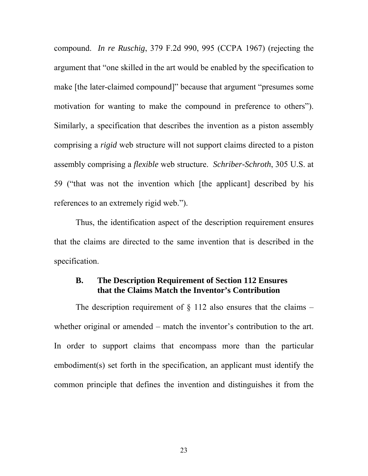compound. *In re Ruschig*, 379 F.2d 990, 995 (CCPA 1967) (rejecting the argument that "one skilled in the art would be enabled by the specification to make [the later-claimed compound]" because that argument "presumes some motivation for wanting to make the compound in preference to others"). Similarly, a specification that describes the invention as a piston assembly comprising a *rigid* web structure will not support claims directed to a piston assembly comprising a *flexible* web structure. *Schriber-Schroth*, 305 U.S. at 59 ("that was not the invention which [the applicant] described by his references to an extremely rigid web.").

Thus, the identification aspect of the description requirement ensures that the claims are directed to the same invention that is described in the specification.

### **B. The Description Requirement of Section 112 Ensures that the Claims Match the Inventor's Contribution**

The description requirement of  $\S$  112 also ensures that the claims – whether original or amended – match the inventor's contribution to the art. In order to support claims that encompass more than the particular embodiment(s) set forth in the specification, an applicant must identify the common principle that defines the invention and distinguishes it from the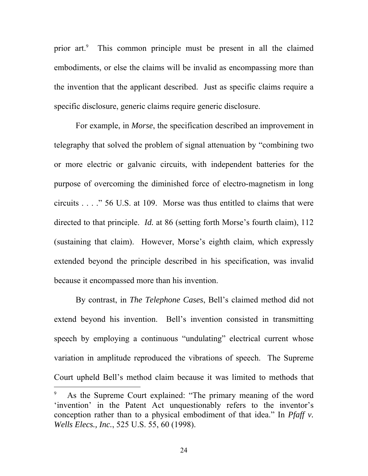prior art.<sup>9</sup> This common principle must be present in all the claimed embodiments, or else the claims will be invalid as encompassing more than the invention that the applicant described. Just as specific claims require a specific disclosure, generic claims require generic disclosure.

For example, in *Morse*, the specification described an improvement in telegraphy that solved the problem of signal attenuation by "combining two or more electric or galvanic circuits, with independent batteries for the purpose of overcoming the diminished force of electro-magnetism in long circuits . . . ." 56 U.S. at 109. Morse was thus entitled to claims that were directed to that principle. *Id.* at 86 (setting forth Morse's fourth claim), 112 (sustaining that claim). However, Morse's eighth claim, which expressly extended beyond the principle described in his specification, was invalid because it encompassed more than his invention.

By contrast, in *The Telephone Cases*, Bell's claimed method did not extend beyond his invention. Bell's invention consisted in transmitting speech by employing a continuous "undulating" electrical current whose variation in amplitude reproduced the vibrations of speech. The Supreme Court upheld Bell's method claim because it was limited to methods that  $\overline{a}$ 

<sup>9</sup> As the Supreme Court explained: "The primary meaning of the word 'invention' in the Patent Act unquestionably refers to the inventor's conception rather than to a physical embodiment of that idea." In *Pfaff v. Wells Elecs., Inc.*, 525 U.S. 55, 60 (1998).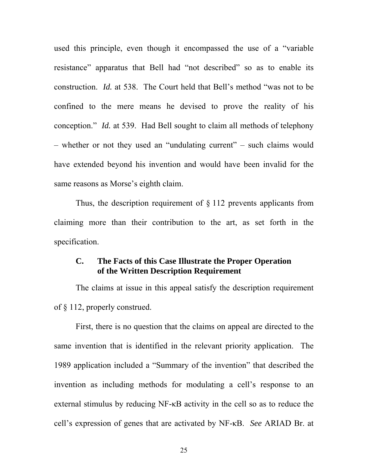used this principle, even though it encompassed the use of a "variable resistance" apparatus that Bell had "not described" so as to enable its construction. *Id.* at 538. The Court held that Bell's method "was not to be confined to the mere means he devised to prove the reality of his conception." *Id.* at 539. Had Bell sought to claim all methods of telephony – whether or not they used an "undulating current" – such claims would have extended beyond his invention and would have been invalid for the same reasons as Morse's eighth claim.

Thus, the description requirement of  $\S 112$  prevents applicants from claiming more than their contribution to the art, as set forth in the specification.

### **C. The Facts of this Case Illustrate the Proper Operation of the Written Description Requirement**

The claims at issue in this appeal satisfy the description requirement of § 112, properly construed.

First, there is no question that the claims on appeal are directed to the same invention that is identified in the relevant priority application. The 1989 application included a "Summary of the invention" that described the invention as including methods for modulating a cell's response to an external stimulus by reducing NF-κB activity in the cell so as to reduce the cell's expression of genes that are activated by NF-κB. *See* ARIAD Br. at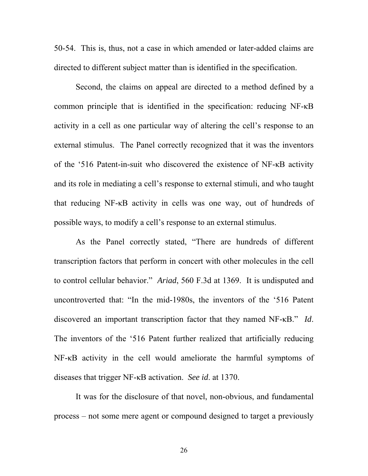50-54. This is, thus, not a case in which amended or later-added claims are directed to different subject matter than is identified in the specification.

Second, the claims on appeal are directed to a method defined by a common principle that is identified in the specification: reducing NF-κB activity in a cell as one particular way of altering the cell's response to an external stimulus. The Panel correctly recognized that it was the inventors of the '516 Patent-in-suit who discovered the existence of NF-κB activity and its role in mediating a cell's response to external stimuli, and who taught that reducing NF-κB activity in cells was one way, out of hundreds of possible ways, to modify a cell's response to an external stimulus.

As the Panel correctly stated, "There are hundreds of different transcription factors that perform in concert with other molecules in the cell to control cellular behavior." *Ariad*, 560 F.3d at 1369. It is undisputed and uncontroverted that: "In the mid-1980s, the inventors of the '516 Patent discovered an important transcription factor that they named NF-κB." *Id*. The inventors of the '516 Patent further realized that artificially reducing NF-κB activity in the cell would ameliorate the harmful symptoms of diseases that trigger NF-κB activation. *See id*. at 1370.

It was for the disclosure of that novel, non-obvious, and fundamental process – not some mere agent or compound designed to target a previously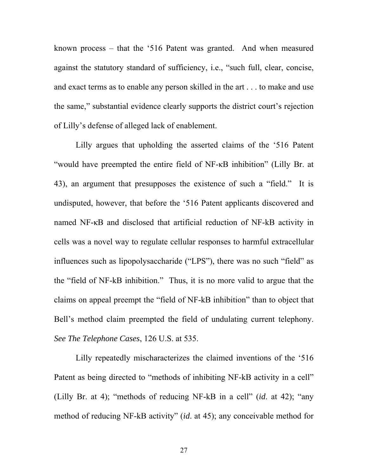known process – that the '516 Patent was granted. And when measured against the statutory standard of sufficiency, i.e., "such full, clear, concise, and exact terms as to enable any person skilled in the art . . . to make and use the same," substantial evidence clearly supports the district court's rejection of Lilly's defense of alleged lack of enablement.

Lilly argues that upholding the asserted claims of the '516 Patent "would have preempted the entire field of NF-κB inhibition" (Lilly Br. at 43), an argument that presupposes the existence of such a "field." It is undisputed, however, that before the '516 Patent applicants discovered and named NF-κB and disclosed that artificial reduction of NF-kB activity in cells was a novel way to regulate cellular responses to harmful extracellular influences such as lipopolysaccharide ("LPS"), there was no such "field" as the "field of NF-kB inhibition." Thus, it is no more valid to argue that the claims on appeal preempt the "field of NF-kB inhibition" than to object that Bell's method claim preempted the field of undulating current telephony. *See The Telephone Cases*, 126 U.S. at 535.

Lilly repeatedly mischaracterizes the claimed inventions of the '516 Patent as being directed to "methods of inhibiting NF-kB activity in a cell" (Lilly Br. at 4); "methods of reducing NF-kB in a cell" (*id*. at 42); "any method of reducing NF-kB activity" (*id*. at 45); any conceivable method for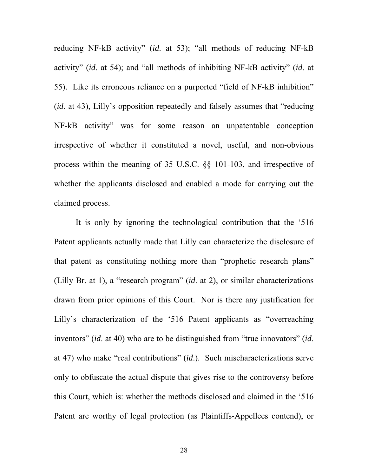reducing NF-kB activity" (*id*. at 53); "all methods of reducing NF-kB activity" (*id*. at 54); and "all methods of inhibiting NF-kB activity" (*id*. at 55). Like its erroneous reliance on a purported "field of NF-kB inhibition" (*id*. at 43), Lilly's opposition repeatedly and falsely assumes that "reducing NF-kB activity" was for some reason an unpatentable conception irrespective of whether it constituted a novel, useful, and non-obvious process within the meaning of 35 U.S.C. §§ 101-103, and irrespective of whether the applicants disclosed and enabled a mode for carrying out the claimed process.

It is only by ignoring the technological contribution that the '516 Patent applicants actually made that Lilly can characterize the disclosure of that patent as constituting nothing more than "prophetic research plans" (Lilly Br. at 1), a "research program" (*id*. at 2), or similar characterizations drawn from prior opinions of this Court. Nor is there any justification for Lilly's characterization of the '516 Patent applicants as "overreaching inventors" (*id*. at 40) who are to be distinguished from "true innovators" (*id*. at 47) who make "real contributions" (*id*.). Such mischaracterizations serve only to obfuscate the actual dispute that gives rise to the controversy before this Court, which is: whether the methods disclosed and claimed in the '516 Patent are worthy of legal protection (as Plaintiffs-Appellees contend), or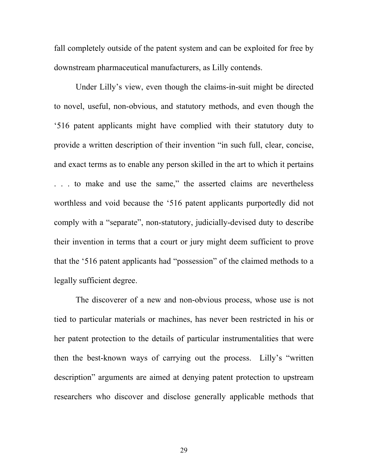fall completely outside of the patent system and can be exploited for free by downstream pharmaceutical manufacturers, as Lilly contends.

Under Lilly's view, even though the claims-in-suit might be directed to novel, useful, non-obvious, and statutory methods, and even though the '516 patent applicants might have complied with their statutory duty to provide a written description of their invention "in such full, clear, concise, and exact terms as to enable any person skilled in the art to which it pertains . . . to make and use the same," the asserted claims are nevertheless worthless and void because the '516 patent applicants purportedly did not comply with a "separate", non-statutory, judicially-devised duty to describe their invention in terms that a court or jury might deem sufficient to prove that the '516 patent applicants had "possession" of the claimed methods to a legally sufficient degree.

The discoverer of a new and non-obvious process, whose use is not tied to particular materials or machines, has never been restricted in his or her patent protection to the details of particular instrumentalities that were then the best-known ways of carrying out the process. Lilly's "written description" arguments are aimed at denying patent protection to upstream researchers who discover and disclose generally applicable methods that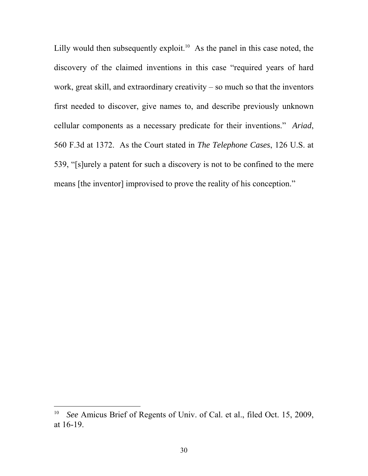Lilly would then subsequently exploit.<sup>10</sup> As the panel in this case noted, the discovery of the claimed inventions in this case "required years of hard work, great skill, and extraordinary creativity – so much so that the inventors first needed to discover, give names to, and describe previously unknown cellular components as a necessary predicate for their inventions." *Ariad*, 560 F.3d at 1372. As the Court stated in *The Telephone Cases*, 126 U.S. at 539, "[s]urely a patent for such a discovery is not to be confined to the mere means [the inventor] improvised to prove the reality of his conception."

<sup>10</sup> *See* Amicus Brief of Regents of Univ. of Cal. et al., filed Oct. 15, 2009, at 16-19.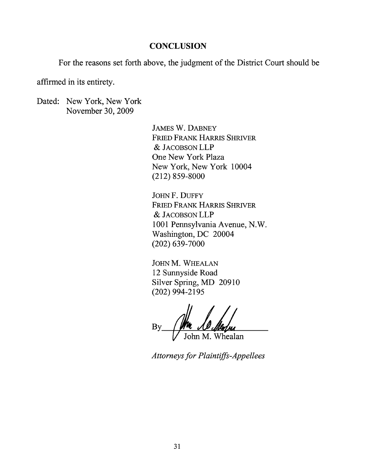#### **CONCLUSION**

For the reasons set forth above, the judgment of the District Court should be

affirmed in its entirety.

Dated: New York, New York November 30, 2009

> **JAMES W. DABNEY FRIED FRANK HARRIS SHRIVER** & JACOBSON LLP One New York Plaza New York, New York 10004  $(212) 859 - 8000$

JOHN F. DUFFY FRIED FRANK HARRIS SHRIVER & JACOBSON LLP 1001 Pennsylvania Avenue, N.W. Washington, DC 20004  $(202)$  639-7000

JOHN M. WHEALAN 12 Sunnyside Road Silver Spring, MD 20910  $(202)$  994-2195

Mu<br>healan By John M

Attorneys for Plaintiffs-Appellees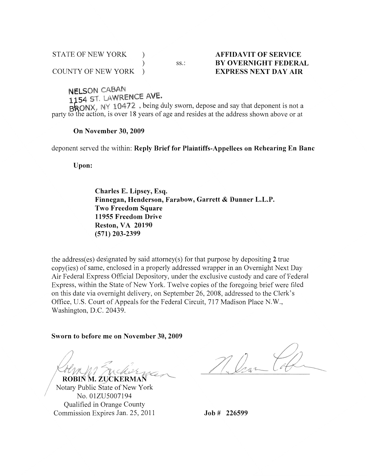| <b>STATE OF NEW YORK</b>  |  |  |
|---------------------------|--|--|
|                           |  |  |
| <b>COUNTY OF NEW YORK</b> |  |  |

 $SS:$ 

#### **AFFIDAVIT OF SERVICE BY OVERNIGHT FEDERAL EXPRESS NEXT DAY AIR**

**NELSON CABAN** 

1154 ST. LAWRENCE AVE.

BRONX, NY 10472, being duly sworn, depose and say that deponent is not a party to the action, is over 18 years of age and resides at the address shown above or at

#### On November 30, 2009

deponent served the within: Reply Brief for Plaintiffs-Appellees on Rehearing En Banc

Upon:

Charles E. Lipsey, Esq. Finnegan, Henderson, Farabow, Garrett & Dunner L.L.P. **Two Freedom Square** 11955 Freedom Drive **Reston, VA 20190**  $(571)$  203-2399

the address(es) designated by said attorney(s) for that purpose by depositing  $2$  true copy(ies) of same, enclosed in a properly addressed wrapper in an Overnight Next Day Air Federal Express Official Depository, under the exclusive custody and care of Federal Express, within the State of New York. Twelve copies of the foregoing brief were filed on this date via overnight delivery, on September 26, 2008, addressed to the Clerk's Office, U.S. Court of Appeals for the Federal Circuit, 717 Madison Place N.W., Washington, D.C. 20439.

Sworn to before me on November 30, 2009

ROBIŃ M. ŹUCKERMAŃ

Notary Public State of New York No. 01ZU5007194 Qualified in Orange County Commission Expires Jan. 25, 2011

 $Job # 226599$